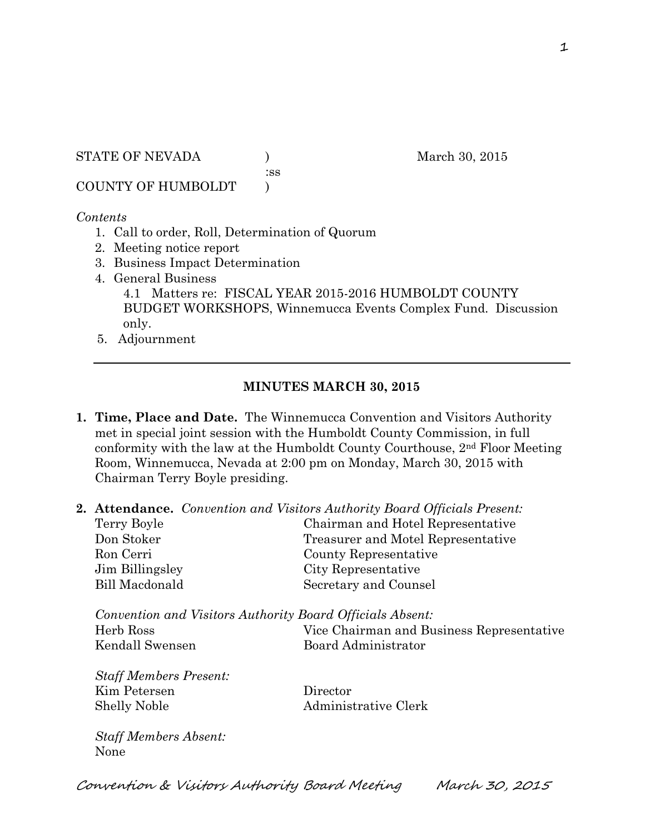STATE OF NEVADA (a) and the March 30, 2015

:ss

COUNTY OF HUMBOLDT )

## *Contents*

- 1. Call to order, Roll, Determination of Quorum
- 2. Meeting notice report
- 3. Business Impact Determination
- 4. General Business 4.1 Matters re: FISCAL YEAR 2015-2016 HUMBOLDT COUNTY BUDGET WORKSHOPS, Winnemucca Events Complex Fund. Discussion only.
- 5. Adjournment

## **MINUTES MARCH 30, 2015**

- **1. Time, Place and Date.** The Winnemucca Convention and Visitors Authority met in special joint session with the Humboldt County Commission, in full conformity with the law at the Humboldt County Courthouse, 2nd Floor Meeting Room, Winnemucca, Nevada at 2:00 pm on Monday, March 30, 2015 with Chairman Terry Boyle presiding.
- **2. Attendance.** *Convention and Visitors Authority Board Officials Present:*

| Terry Boyle                                               | Chairman and Hotel Representative         |
|-----------------------------------------------------------|-------------------------------------------|
| Don Stoker                                                | Treasurer and Motel Representative        |
| Ron Cerri                                                 | County Representative                     |
| Jim Billingsley                                           | City Representative                       |
| Bill Macdonald                                            | Secretary and Counsel                     |
|                                                           |                                           |
| Convention and Visitors Authority Board Officials Absent: |                                           |
| Herb Ross                                                 | Vice Chairman and Business Representative |
| Kendall Swensen                                           | Board Administrator                       |
|                                                           |                                           |
| <b>Staff Members Present:</b>                             |                                           |
| Kim Petersen                                              | Director                                  |
| <b>Shelly Noble</b>                                       | Administrative Clerk                      |
|                                                           |                                           |
|                                                           |                                           |

*Staff Members Absent:*  None

Convention & Visitors Authority Board Meeting March 30, 2015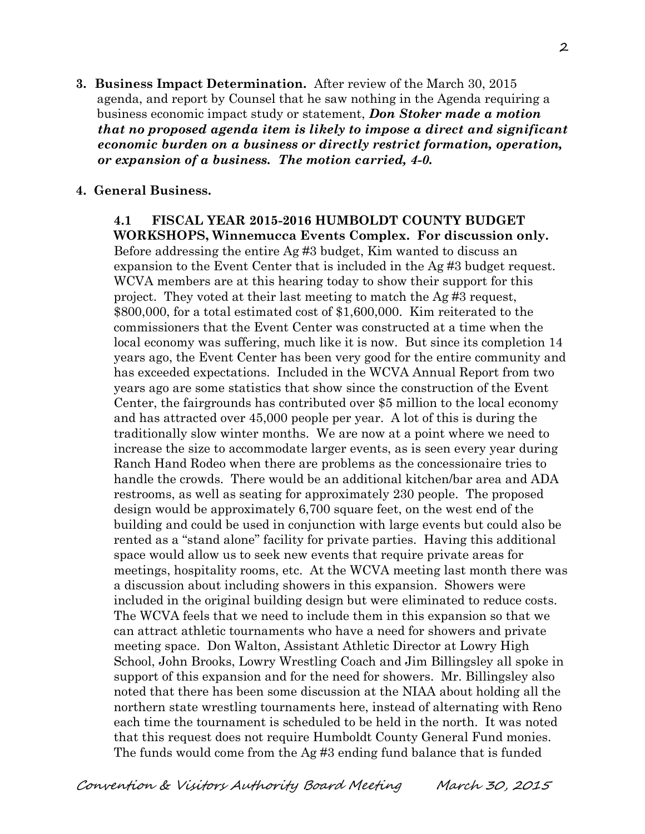**3. Business Impact Determination.** After review of the March 30, 2015 agenda, and report by Counsel that he saw nothing in the Agenda requiring a business economic impact study or statement, *Don Stoker made a motion that no proposed agenda item is likely to impose a direct and significant economic burden on a business or directly restrict formation, operation, or expansion of a business. The motion carried, 4-0.*

## **4. General Business.**

**4.1 FISCAL YEAR 2015-2016 HUMBOLDT COUNTY BUDGET WORKSHOPS, Winnemucca Events Complex. For discussion only.**  Before addressing the entire Ag #3 budget, Kim wanted to discuss an expansion to the Event Center that is included in the Ag #3 budget request. WCVA members are at this hearing today to show their support for this project. They voted at their last meeting to match the Ag #3 request, \$800,000, for a total estimated cost of \$1,600,000. Kim reiterated to the commissioners that the Event Center was constructed at a time when the local economy was suffering, much like it is now. But since its completion 14 years ago, the Event Center has been very good for the entire community and has exceeded expectations. Included in the WCVA Annual Report from two years ago are some statistics that show since the construction of the Event Center, the fairgrounds has contributed over \$5 million to the local economy and has attracted over 45,000 people per year. A lot of this is during the traditionally slow winter months. We are now at a point where we need to increase the size to accommodate larger events, as is seen every year during Ranch Hand Rodeo when there are problems as the concessionaire tries to handle the crowds. There would be an additional kitchen/bar area and ADA restrooms, as well as seating for approximately 230 people. The proposed design would be approximately 6,700 square feet, on the west end of the building and could be used in conjunction with large events but could also be rented as a "stand alone" facility for private parties. Having this additional space would allow us to seek new events that require private areas for meetings, hospitality rooms, etc. At the WCVA meeting last month there was a discussion about including showers in this expansion. Showers were included in the original building design but were eliminated to reduce costs. The WCVA feels that we need to include them in this expansion so that we can attract athletic tournaments who have a need for showers and private meeting space. Don Walton, Assistant Athletic Director at Lowry High School, John Brooks, Lowry Wrestling Coach and Jim Billingsley all spoke in support of this expansion and for the need for showers. Mr. Billingsley also noted that there has been some discussion at the NIAA about holding all the northern state wrestling tournaments here, instead of alternating with Reno each time the tournament is scheduled to be held in the north. It was noted that this request does not require Humboldt County General Fund monies. The funds would come from the Ag #3 ending fund balance that is funded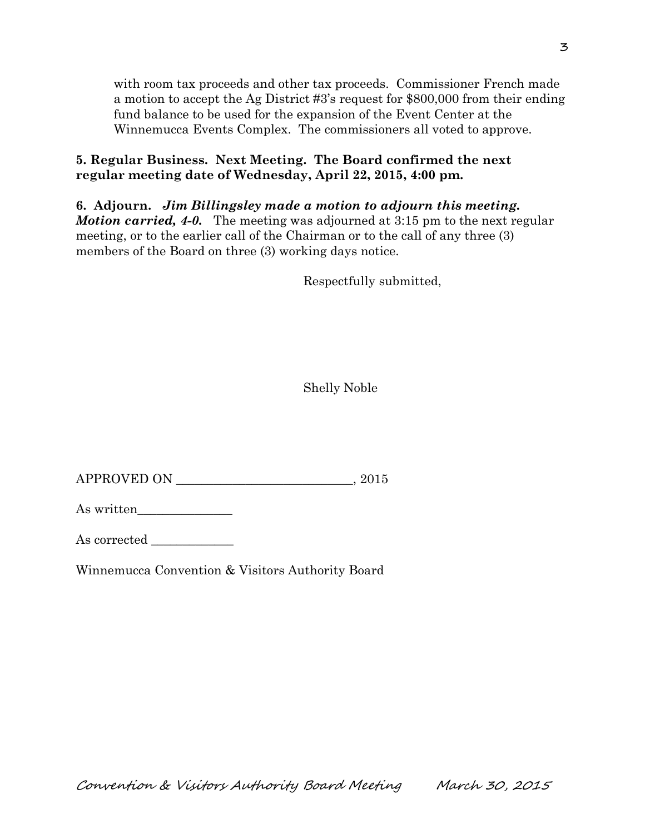with room tax proceeds and other tax proceeds. Commissioner French made a motion to accept the Ag District #3's request for \$800,000 from their ending fund balance to be used for the expansion of the Event Center at the Winnemucca Events Complex. The commissioners all voted to approve.

## **5. Regular Business. Next Meeting. The Board confirmed the next regular meeting date of Wednesday, April 22, 2015, 4:00 pm.**

**6. Adjourn.** *Jim Billingsley made a motion to adjourn this meeting. Motion carried, 4-0.* The meeting was adjourned at 3:15 pm to the next regular meeting, or to the earlier call of the Chairman or to the call of any three (3) members of the Board on three (3) working days notice.

Respectfully submitted,

Shelly Noble

APPROVED ON \_\_\_\_\_\_\_\_\_\_\_\_\_\_\_\_\_\_\_\_\_\_\_\_\_\_\_\_, 2015

As written\_\_\_\_\_\_\_\_\_\_\_\_\_\_\_

As corrected

Winnemucca Convention & Visitors Authority Board

Convention & Visitors Authority Board Meeting March 30, 2015